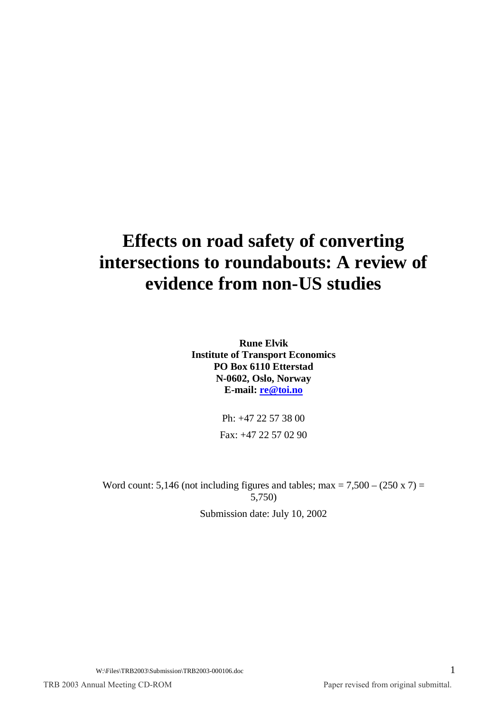# **Effects on road safety of converting intersections to roundabouts: A review of evidence from non-US studies**

**Rune Elvik Institute of Transport Economics PO Box 6110 Etterstad N-0602, Oslo, Norway E-mail: re@toi.no**

> Ph: +47 22 57 38 00 Fax: +47 22 57 02 90

Word count: 5,146 (not including figures and tables; max =  $7,500 - (250 \times 7) =$ 5,750)

Submission date: July 10, 2002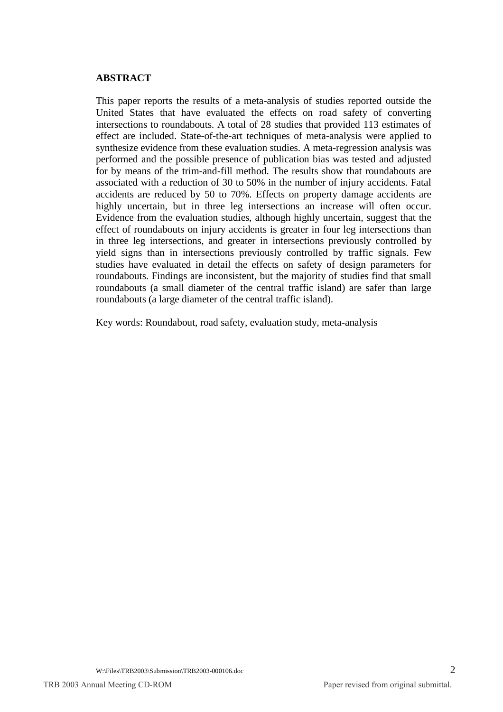## **ABSTRACT**

This paper reports the results of a meta-analysis of studies reported outside the United States that have evaluated the effects on road safety of converting intersections to roundabouts. A total of 28 studies that provided 113 estimates of effect are included. State-of-the-art techniques of meta-analysis were applied to synthesize evidence from these evaluation studies. A meta-regression analysis was performed and the possible presence of publication bias was tested and adjusted for by means of the trim-and-fill method. The results show that roundabouts are associated with a reduction of 30 to 50% in the number of injury accidents. Fatal accidents are reduced by 50 to 70%. Effects on property damage accidents are highly uncertain, but in three leg intersections an increase will often occur. Evidence from the evaluation studies, although highly uncertain, suggest that the effect of roundabouts on injury accidents is greater in four leg intersections than in three leg intersections, and greater in intersections previously controlled by yield signs than in intersections previously controlled by traffic signals. Few studies have evaluated in detail the effects on safety of design parameters for roundabouts. Findings are inconsistent, but the majority of studies find that small roundabouts (a small diameter of the central traffic island) are safer than large roundabouts (a large diameter of the central traffic island).

Key words: Roundabout, road safety, evaluation study, meta-analysis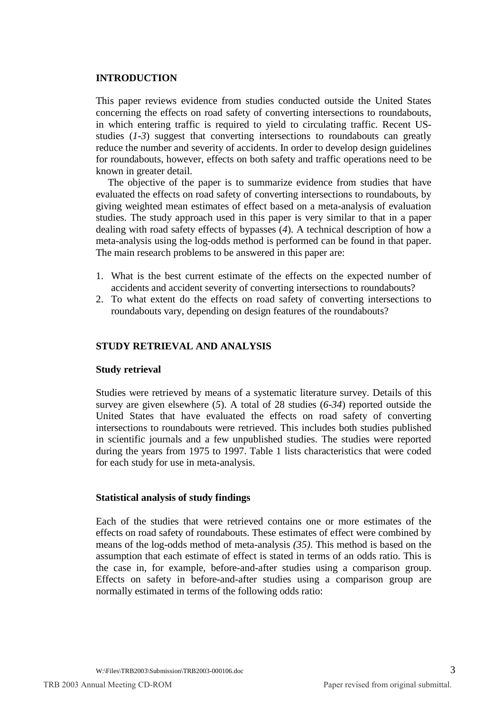#### **INTRODUCTION**

This paper reviews evidence from studies conducted outside the United States concerning the effects on road safety of converting intersections to roundabouts, in which entering traffic is required to yield to circulating traffic. Recent USstudies (*1-3*) suggest that converting intersections to roundabouts can greatly reduce the number and severity of accidents. In order to develop design guidelines for roundabouts, however, effects on both safety and traffic operations need to be known in greater detail.

The objective of the paper is to summarize evidence from studies that have evaluated the effects on road safety of converting intersections to roundabouts, by giving weighted mean estimates of effect based on a meta-analysis of evaluation studies. The study approach used in this paper is very similar to that in a paper dealing with road safety effects of bypasses (*4*). A technical description of how a meta-analysis using the log-odds method is performed can be found in that paper. The main research problems to be answered in this paper are:

- 1. What is the best current estimate of the effects on the expected number of accidents and accident severity of converting intersections to roundabouts?
- 2. To what extent do the effects on road safety of converting intersections to roundabouts vary, depending on design features of the roundabouts?

## **STUDY RETRIEVAL AND ANALYSIS**

## **Study retrieval**

Studies were retrieved by means of a systematic literature survey. Details of this survey are given elsewhere (*5*). A total of 28 studies (*6-34*) reported outside the United States that have evaluated the effects on road safety of converting intersections to roundabouts were retrieved. This includes both studies published in scientific journals and a few unpublished studies. The studies were reported during the years from 1975 to 1997. Table 1 lists characteristics that were coded for each study for use in meta-analysis.

## **Statistical analysis of study findings**

Each of the studies that were retrieved contains one or more estimates of the effects on road safety of roundabouts. These estimates of effect were combined by means of the log-odds method of meta-analysis *(35)*. This method is based on the assumption that each estimate of effect is stated in terms of an odds ratio. This is the case in, for example, before-and-after studies using a comparison group. Effects on safety in before-and-after studies using a comparison group are normally estimated in terms of the following odds ratio: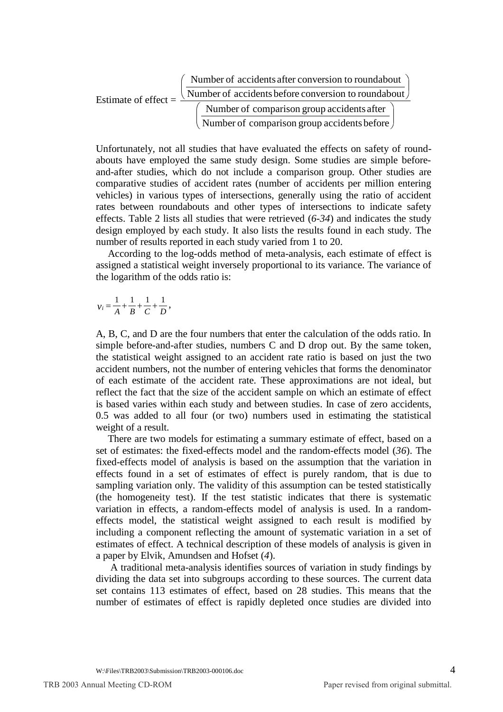|                        | Number of accidents after conversion to roundabout                 |
|------------------------|--------------------------------------------------------------------|
| Estimate of effect $=$ | Number of accidents before conversion to roundabout $\overline{a}$ |
|                        | Number of comparison group accidents after                         |
|                        | Number of comparison group accidents before                        |
|                        |                                                                    |

Unfortunately, not all studies that have evaluated the effects on safety of roundabouts have employed the same study design. Some studies are simple beforeand-after studies, which do not include a comparison group. Other studies are comparative studies of accident rates (number of accidents per million entering vehicles) in various types of intersections, generally using the ratio of accident rates between roundabouts and other types of intersections to indicate safety effects. Table 2 lists all studies that were retrieved (*6-34*) and indicates the study design employed by each study. It also lists the results found in each study. The number of results reported in each study varied from 1 to 20.

According to the log-odds method of meta-analysis, each estimate of effect is assigned a statistical weight inversely proportional to its variance. The variance of the logarithm of the odds ratio is:

 $v_i = \frac{1}{A} + \frac{1}{B} + \frac{1}{C} + \frac{1}{D}$ ,

A, B, C, and D are the four numbers that enter the calculation of the odds ratio. In simple before-and-after studies, numbers C and D drop out. By the same token, the statistical weight assigned to an accident rate ratio is based on just the two accident numbers, not the number of entering vehicles that forms the denominator of each estimate of the accident rate. These approximations are not ideal, but reflect the fact that the size of the accident sample on which an estimate of effect is based varies within each study and between studies. In case of zero accidents, 0.5 was added to all four (or two) numbers used in estimating the statistical weight of a result.

There are two models for estimating a summary estimate of effect, based on a set of estimates: the fixed-effects model and the random-effects model (*36*). The fixed-effects model of analysis is based on the assumption that the variation in effects found in a set of estimates of effect is purely random, that is due to sampling variation only. The validity of this assumption can be tested statistically (the homogeneity test). If the test statistic indicates that there is systematic variation in effects, a random-effects model of analysis is used. In a randomeffects model, the statistical weight assigned to each result is modified by including a component reflecting the amount of systematic variation in a set of estimates of effect. A technical description of these models of analysis is given in a paper by Elvik, Amundsen and Hofset (*4*).

 A traditional meta-analysis identifies sources of variation in study findings by dividing the data set into subgroups according to these sources. The current data set contains 113 estimates of effect, based on 28 studies. This means that the number of estimates of effect is rapidly depleted once studies are divided into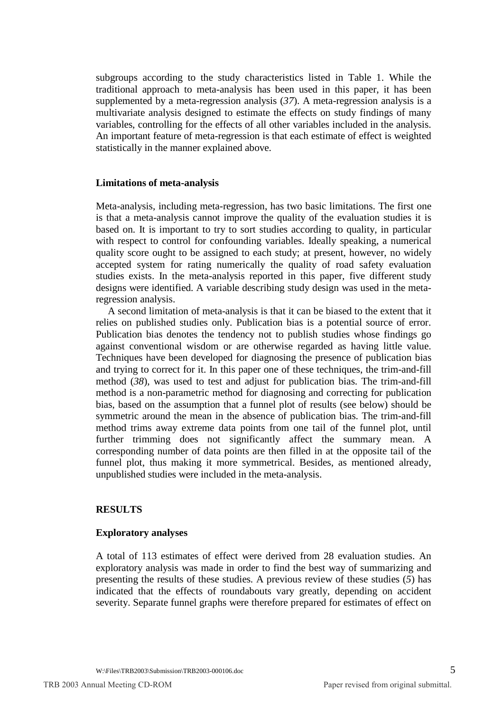subgroups according to the study characteristics listed in Table 1. While the traditional approach to meta-analysis has been used in this paper, it has been supplemented by a meta-regression analysis (*37*). A meta-regression analysis is a multivariate analysis designed to estimate the effects on study findings of many variables, controlling for the effects of all other variables included in the analysis. An important feature of meta-regression is that each estimate of effect is weighted statistically in the manner explained above.

#### **Limitations of meta-analysis**

Meta-analysis, including meta-regression, has two basic limitations. The first one is that a meta-analysis cannot improve the quality of the evaluation studies it is based on. It is important to try to sort studies according to quality, in particular with respect to control for confounding variables. Ideally speaking, a numerical quality score ought to be assigned to each study; at present, however, no widely accepted system for rating numerically the quality of road safety evaluation studies exists. In the meta-analysis reported in this paper, five different study designs were identified. A variable describing study design was used in the metaregression analysis.

A second limitation of meta-analysis is that it can be biased to the extent that it relies on published studies only. Publication bias is a potential source of error. Publication bias denotes the tendency not to publish studies whose findings go against conventional wisdom or are otherwise regarded as having little value. Techniques have been developed for diagnosing the presence of publication bias and trying to correct for it. In this paper one of these techniques, the trim-and-fill method (*38*), was used to test and adjust for publication bias. The trim-and-fill method is a non-parametric method for diagnosing and correcting for publication bias, based on the assumption that a funnel plot of results (see below) should be symmetric around the mean in the absence of publication bias. The trim-and-fill method trims away extreme data points from one tail of the funnel plot, until further trimming does not significantly affect the summary mean. A corresponding number of data points are then filled in at the opposite tail of the funnel plot, thus making it more symmetrical. Besides, as mentioned already, unpublished studies were included in the meta-analysis.

#### **RESULTS**

#### **Exploratory analyses**

A total of 113 estimates of effect were derived from 28 evaluation studies. An exploratory analysis was made in order to find the best way of summarizing and presenting the results of these studies. A previous review of these studies (*5*) has indicated that the effects of roundabouts vary greatly, depending on accident severity. Separate funnel graphs were therefore prepared for estimates of effect on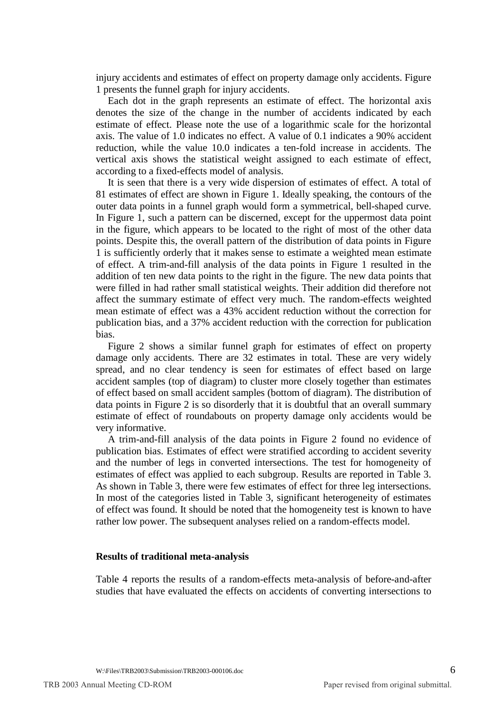injury accidents and estimates of effect on property damage only accidents. Figure 1 presents the funnel graph for injury accidents.

Each dot in the graph represents an estimate of effect. The horizontal axis denotes the size of the change in the number of accidents indicated by each estimate of effect. Please note the use of a logarithmic scale for the horizontal axis. The value of 1.0 indicates no effect. A value of 0.1 indicates a 90% accident reduction, while the value 10.0 indicates a ten-fold increase in accidents. The vertical axis shows the statistical weight assigned to each estimate of effect, according to a fixed-effects model of analysis.

It is seen that there is a very wide dispersion of estimates of effect. A total of 81 estimates of effect are shown in Figure 1. Ideally speaking, the contours of the outer data points in a funnel graph would form a symmetrical, bell-shaped curve. In Figure 1, such a pattern can be discerned, except for the uppermost data point in the figure, which appears to be located to the right of most of the other data points. Despite this, the overall pattern of the distribution of data points in Figure 1 is sufficiently orderly that it makes sense to estimate a weighted mean estimate of effect. A trim-and-fill analysis of the data points in Figure 1 resulted in the addition of ten new data points to the right in the figure. The new data points that were filled in had rather small statistical weights. Their addition did therefore not affect the summary estimate of effect very much. The random-effects weighted mean estimate of effect was a 43% accident reduction without the correction for publication bias, and a 37% accident reduction with the correction for publication bias.

Figure 2 shows a similar funnel graph for estimates of effect on property damage only accidents. There are 32 estimates in total. These are very widely spread, and no clear tendency is seen for estimates of effect based on large accident samples (top of diagram) to cluster more closely together than estimates of effect based on small accident samples (bottom of diagram). The distribution of data points in Figure 2 is so disorderly that it is doubtful that an overall summary estimate of effect of roundabouts on property damage only accidents would be very informative.

A trim-and-fill analysis of the data points in Figure 2 found no evidence of publication bias. Estimates of effect were stratified according to accident severity and the number of legs in converted intersections. The test for homogeneity of estimates of effect was applied to each subgroup. Results are reported in Table 3. As shown in Table 3, there were few estimates of effect for three leg intersections. In most of the categories listed in Table 3, significant heterogeneity of estimates of effect was found. It should be noted that the homogeneity test is known to have rather low power. The subsequent analyses relied on a random-effects model.

#### **Results of traditional meta-analysis**

Table 4 reports the results of a random-effects meta-analysis of before-and-after studies that have evaluated the effects on accidents of converting intersections to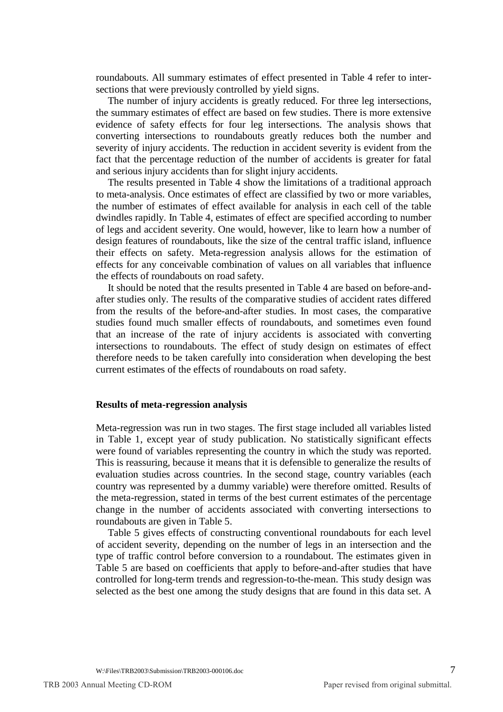roundabouts. All summary estimates of effect presented in Table 4 refer to intersections that were previously controlled by yield signs.

The number of injury accidents is greatly reduced. For three leg intersections, the summary estimates of effect are based on few studies. There is more extensive evidence of safety effects for four leg intersections. The analysis shows that converting intersections to roundabouts greatly reduces both the number and severity of injury accidents. The reduction in accident severity is evident from the fact that the percentage reduction of the number of accidents is greater for fatal and serious injury accidents than for slight injury accidents.

The results presented in Table 4 show the limitations of a traditional approach to meta-analysis. Once estimates of effect are classified by two or more variables, the number of estimates of effect available for analysis in each cell of the table dwindles rapidly. In Table 4, estimates of effect are specified according to number of legs and accident severity. One would, however, like to learn how a number of design features of roundabouts, like the size of the central traffic island, influence their effects on safety. Meta-regression analysis allows for the estimation of effects for any conceivable combination of values on all variables that influence the effects of roundabouts on road safety.

It should be noted that the results presented in Table 4 are based on before-andafter studies only. The results of the comparative studies of accident rates differed from the results of the before-and-after studies. In most cases, the comparative studies found much smaller effects of roundabouts, and sometimes even found that an increase of the rate of injury accidents is associated with converting intersections to roundabouts. The effect of study design on estimates of effect therefore needs to be taken carefully into consideration when developing the best current estimates of the effects of roundabouts on road safety.

#### **Results of meta-regression analysis**

Meta-regression was run in two stages. The first stage included all variables listed in Table 1, except year of study publication. No statistically significant effects were found of variables representing the country in which the study was reported. This is reassuring, because it means that it is defensible to generalize the results of evaluation studies across countries. In the second stage, country variables (each country was represented by a dummy variable) were therefore omitted. Results of the meta-regression, stated in terms of the best current estimates of the percentage change in the number of accidents associated with converting intersections to roundabouts are given in Table 5.

Table 5 gives effects of constructing conventional roundabouts for each level of accident severity, depending on the number of legs in an intersection and the type of traffic control before conversion to a roundabout. The estimates given in Table 5 are based on coefficients that apply to before-and-after studies that have controlled for long-term trends and regression-to-the-mean. This study design was selected as the best one among the study designs that are found in this data set. A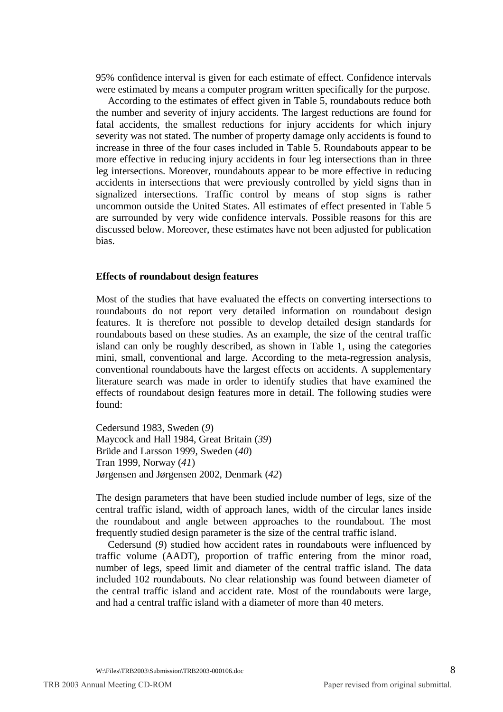95% confidence interval is given for each estimate of effect. Confidence intervals were estimated by means a computer program written specifically for the purpose.

According to the estimates of effect given in Table 5, roundabouts reduce both the number and severity of injury accidents. The largest reductions are found for fatal accidents, the smallest reductions for injury accidents for which injury severity was not stated. The number of property damage only accidents is found to increase in three of the four cases included in Table 5. Roundabouts appear to be more effective in reducing injury accidents in four leg intersections than in three leg intersections. Moreover, roundabouts appear to be more effective in reducing accidents in intersections that were previously controlled by yield signs than in signalized intersections. Traffic control by means of stop signs is rather uncommon outside the United States. All estimates of effect presented in Table 5 are surrounded by very wide confidence intervals. Possible reasons for this are discussed below. Moreover, these estimates have not been adjusted for publication bias.

#### **Effects of roundabout design features**

Most of the studies that have evaluated the effects on converting intersections to roundabouts do not report very detailed information on roundabout design features. It is therefore not possible to develop detailed design standards for roundabouts based on these studies. As an example, the size of the central traffic island can only be roughly described, as shown in Table 1, using the categories mini, small, conventional and large. According to the meta-regression analysis, conventional roundabouts have the largest effects on accidents. A supplementary literature search was made in order to identify studies that have examined the effects of roundabout design features more in detail. The following studies were found:

Cedersund 1983, Sweden (*9*) Maycock and Hall 1984, Great Britain (*39*) Brüde and Larsson 1999, Sweden (*40*) Tran 1999, Norway (*41*) Jørgensen and Jørgensen 2002, Denmark (*42*)

The design parameters that have been studied include number of legs, size of the central traffic island, width of approach lanes, width of the circular lanes inside the roundabout and angle between approaches to the roundabout. The most frequently studied design parameter is the size of the central traffic island.

Cedersund (*9*) studied how accident rates in roundabouts were influenced by traffic volume (AADT), proportion of traffic entering from the minor road, number of legs, speed limit and diameter of the central traffic island. The data included 102 roundabouts. No clear relationship was found between diameter of the central traffic island and accident rate. Most of the roundabouts were large, and had a central traffic island with a diameter of more than 40 meters.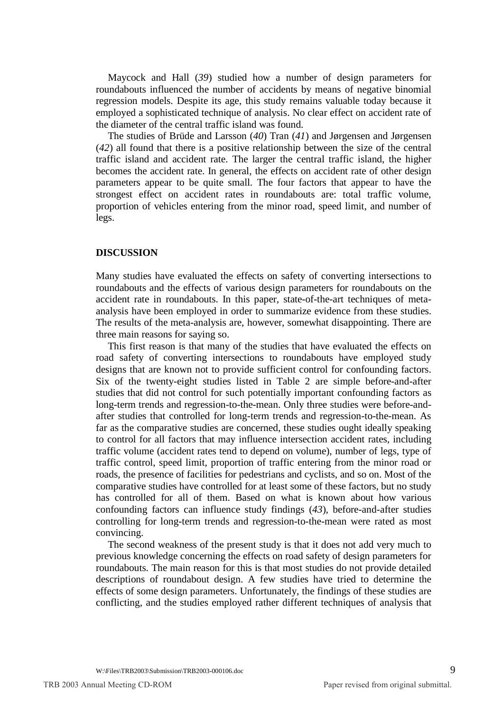Maycock and Hall (*39*) studied how a number of design parameters for roundabouts influenced the number of accidents by means of negative binomial regression models. Despite its age, this study remains valuable today because it employed a sophisticated technique of analysis. No clear effect on accident rate of the diameter of the central traffic island was found.

The studies of Brüde and Larsson (*40*) Tran (*41*) and Jørgensen and Jørgensen (*42*) all found that there is a positive relationship between the size of the central traffic island and accident rate. The larger the central traffic island, the higher becomes the accident rate. In general, the effects on accident rate of other design parameters appear to be quite small. The four factors that appear to have the strongest effect on accident rates in roundabouts are: total traffic volume, proportion of vehicles entering from the minor road, speed limit, and number of legs.

#### **DISCUSSION**

Many studies have evaluated the effects on safety of converting intersections to roundabouts and the effects of various design parameters for roundabouts on the accident rate in roundabouts. In this paper, state-of-the-art techniques of metaanalysis have been employed in order to summarize evidence from these studies. The results of the meta-analysis are, however, somewhat disappointing. There are three main reasons for saying so.

This first reason is that many of the studies that have evaluated the effects on road safety of converting intersections to roundabouts have employed study designs that are known not to provide sufficient control for confounding factors. Six of the twenty-eight studies listed in Table 2 are simple before-and-after studies that did not control for such potentially important confounding factors as long-term trends and regression-to-the-mean. Only three studies were before-andafter studies that controlled for long-term trends and regression-to-the-mean. As far as the comparative studies are concerned, these studies ought ideally speaking to control for all factors that may influence intersection accident rates, including traffic volume (accident rates tend to depend on volume), number of legs, type of traffic control, speed limit, proportion of traffic entering from the minor road or roads, the presence of facilities for pedestrians and cyclists, and so on. Most of the comparative studies have controlled for at least some of these factors, but no study has controlled for all of them. Based on what is known about how various confounding factors can influence study findings (*43*), before-and-after studies controlling for long-term trends and regression-to-the-mean were rated as most convincing.

The second weakness of the present study is that it does not add very much to previous knowledge concerning the effects on road safety of design parameters for roundabouts. The main reason for this is that most studies do not provide detailed descriptions of roundabout design. A few studies have tried to determine the effects of some design parameters. Unfortunately, the findings of these studies are conflicting, and the studies employed rather different techniques of analysis that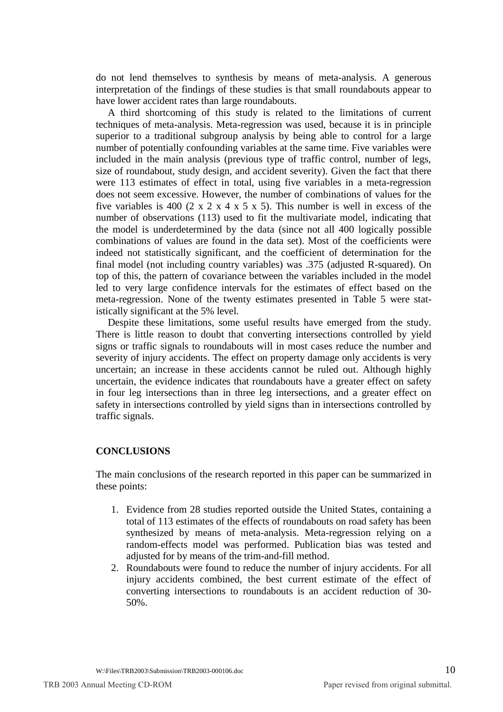do not lend themselves to synthesis by means of meta-analysis. A generous interpretation of the findings of these studies is that small roundabouts appear to have lower accident rates than large roundabouts.

A third shortcoming of this study is related to the limitations of current techniques of meta-analysis. Meta-regression was used, because it is in principle superior to a traditional subgroup analysis by being able to control for a large number of potentially confounding variables at the same time. Five variables were included in the main analysis (previous type of traffic control, number of legs, size of roundabout, study design, and accident severity). Given the fact that there were 113 estimates of effect in total, using five variables in a meta-regression does not seem excessive. However, the number of combinations of values for the five variables is 400  $(2 \times 2 \times 4 \times 5 \times 5)$ . This number is well in excess of the number of observations (113) used to fit the multivariate model, indicating that the model is underdetermined by the data (since not all 400 logically possible combinations of values are found in the data set). Most of the coefficients were indeed not statistically significant, and the coefficient of determination for the final model (not including country variables) was .375 (adjusted R-squared). On top of this, the pattern of covariance between the variables included in the model led to very large confidence intervals for the estimates of effect based on the meta-regression. None of the twenty estimates presented in Table 5 were statistically significant at the 5% level.

Despite these limitations, some useful results have emerged from the study. There is little reason to doubt that converting intersections controlled by yield signs or traffic signals to roundabouts will in most cases reduce the number and severity of injury accidents. The effect on property damage only accidents is very uncertain; an increase in these accidents cannot be ruled out. Although highly uncertain, the evidence indicates that roundabouts have a greater effect on safety in four leg intersections than in three leg intersections, and a greater effect on safety in intersections controlled by yield signs than in intersections controlled by traffic signals.

## **CONCLUSIONS**

The main conclusions of the research reported in this paper can be summarized in these points:

- 1. Evidence from 28 studies reported outside the United States, containing a total of 113 estimates of the effects of roundabouts on road safety has been synthesized by means of meta-analysis. Meta-regression relying on a random-effects model was performed. Publication bias was tested and adjusted for by means of the trim-and-fill method.
- 2. Roundabouts were found to reduce the number of injury accidents. For all injury accidents combined, the best current estimate of the effect of converting intersections to roundabouts is an accident reduction of 30- 50%.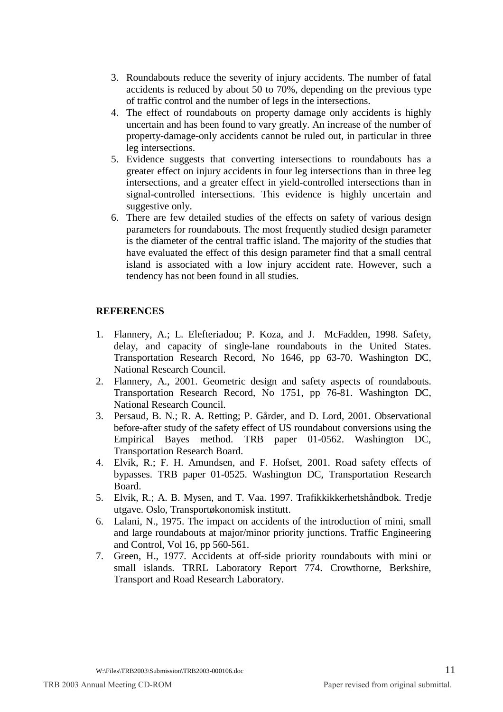- 3. Roundabouts reduce the severity of injury accidents. The number of fatal accidents is reduced by about 50 to 70%, depending on the previous type of traffic control and the number of legs in the intersections.
- 4. The effect of roundabouts on property damage only accidents is highly uncertain and has been found to vary greatly. An increase of the number of property-damage-only accidents cannot be ruled out, in particular in three leg intersections.
- 5. Evidence suggests that converting intersections to roundabouts has a greater effect on injury accidents in four leg intersections than in three leg intersections, and a greater effect in yield-controlled intersections than in signal-controlled intersections. This evidence is highly uncertain and suggestive only.
- 6. There are few detailed studies of the effects on safety of various design parameters for roundabouts. The most frequently studied design parameter is the diameter of the central traffic island. The majority of the studies that have evaluated the effect of this design parameter find that a small central island is associated with a low injury accident rate. However, such a tendency has not been found in all studies.

## **REFERENCES**

- 1. Flannery, A.; L. Elefteriadou; P. Koza, and J. McFadden, 1998. Safety, delay, and capacity of single-lane roundabouts in the United States. Transportation Research Record, No 1646, pp 63-70. Washington DC, National Research Council.
- 2. Flannery, A., 2001. Geometric design and safety aspects of roundabouts. Transportation Research Record, No 1751, pp 76-81. Washington DC, National Research Council.
- 3. Persaud, B. N.; R. A. Retting; P. Gårder, and D. Lord, 2001. Observational before-after study of the safety effect of US roundabout conversions using the Empirical Bayes method. TRB paper 01-0562. Washington DC, Transportation Research Board.
- 4. Elvik, R.; F. H. Amundsen, and F. Hofset, 2001. Road safety effects of bypasses. TRB paper 01-0525. Washington DC, Transportation Research Board.
- 5. Elvik, R.; A. B. Mysen, and T. Vaa. 1997. Trafikkikkerhetshåndbok. Tredje utgave. Oslo, Transportøkonomisk institutt.
- 6. Lalani, N., 1975. The impact on accidents of the introduction of mini, small and large roundabouts at major/minor priority junctions. Traffic Engineering and Control, Vol 16, pp 560-561.
- 7. Green, H., 1977. Accidents at off-side priority roundabouts with mini or small islands. TRRL Laboratory Report 774. Crowthorne, Berkshire, Transport and Road Research Laboratory.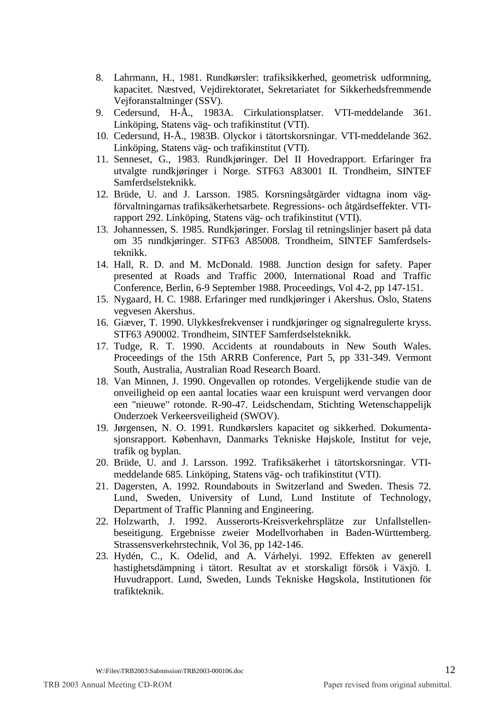- 8. Lahrmann, H., 1981. Rundkørsler: trafiksikkerhed, geometrisk udformning, kapacitet. Næstved, Vejdirektoratet, Sekretariatet for Sikkerhedsfremmende Vejforanstaltninger (SSV).
- 9. Cedersund, H-Å., 1983A. Cirkulationsplatser. VTI-meddelande 361. Linköping, Statens väg- och trafikinstitut (VTI).
- 10. Cedersund, H-Å., 1983B. Olyckor i tätortskorsningar. VTI-meddelande 362. Linköping, Statens väg- och trafikinstitut (VTI).
- 11. Senneset, G., 1983. Rundkjøringer. Del II Hovedrapport. Erfaringer fra utvalgte rundkjøringer i Norge. STF63 A83001 II. Trondheim, SINTEF Samferdselsteknikk.
- 12. Brüde, U. and J. Larsson. 1985. Korsningsåtgärder vidtagna inom vägförvaltningarnas trafiksäkerhetsarbete. Regressions- och åtgärdseffekter. VTIrapport 292. Linköping, Statens väg- och trafikinstitut (VTI).
- 13. Johannessen, S. 1985. Rundkjøringer. Forslag til retningslinjer basert på data om 35 rundkjøringer. STF63 A85008. Trondheim, SINTEF Samferdselsteknikk.
- 14. Hall, R. D. and M. McDonald. 1988. Junction design for safety. Paper presented at Roads and Traffic 2000, International Road and Traffic Conference, Berlin, 6-9 September 1988. Proceedings, Vol 4-2, pp 147-151.
- 15. Nygaard, H. C. 1988. Erfaringer med rundkjøringer i Akershus. Oslo, Statens vegvesen Akershus.
- 16. Giæver, T. 1990. Ulykkesfrekvenser i rundkjøringer og signalregulerte kryss. STF63 A90002. Trondheim, SINTEF Samferdselsteknikk.
- 17. Tudge, R. T. 1990. Accidents at roundabouts in New South Wales. Proceedings of the 15th ARRB Conference, Part 5, pp 331-349. Vermont South, Australia, Australian Road Research Board.
- 18. Van Minnen, J. 1990. Ongevallen op rotondes. Vergelijkende studie van de onveiligheid op een aantal locaties waar een kruispunt werd vervangen door een "nieuwe" rotonde. R-90-47. Leidschendam, Stichting Wetenschappelijk Onderzoek Verkeersveiligheid (SWOV).
- 19. Jørgensen, N. O. 1991. Rundkørslers kapacitet og sikkerhed. Dokumentasjonsrapport. København, Danmarks Tekniske Højskole, Institut for veje, trafik og byplan.
- 20. Brüde, U. and J. Larsson. 1992. Trafiksäkerhet i tätortskorsningar. VTImeddelande 685. Linköping, Statens väg- och trafikinstitut (VTI).
- 21. Dagersten, A. 1992. Roundabouts in Switzerland and Sweden. Thesis 72. Lund, Sweden, University of Lund, Lund Institute of Technology, Department of Traffic Planning and Engineering.
- 22. Holzwarth, J. 1992. Ausserorts-Kreisverkehrsplätze zur Unfallstellenbeseitigung. Ergebnisse zweier Modellvorhaben in Baden-Württemberg. Strassensverkehrstechnik, Vol 36, pp 142-146.
- 23. Hydén, C., K. Odelid, and A. Várhelyi. 1992. Effekten av generell hastighetsdämpning i tätort. Resultat av et storskaligt försök i Växjö. I. Huvudrapport. Lund, Sweden, Lunds Tekniske Høgskola, Institutionen för trafikteknik.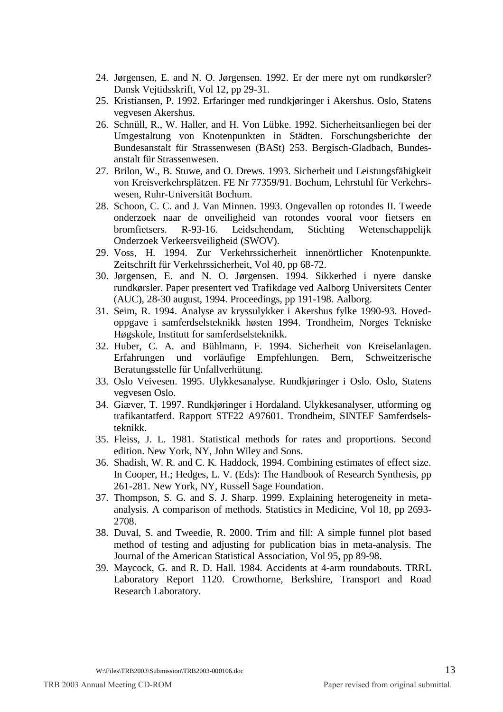- 24. Jørgensen, E. and N. O. Jørgensen. 1992. Er der mere nyt om rundkørsler? Dansk Vejtidsskrift, Vol 12, pp 29-31.
- 25. Kristiansen, P. 1992. Erfaringer med rundkjøringer i Akershus. Oslo, Statens vegvesen Akershus.
- 26. Schnüll, R., W. Haller, and H. Von Lübke. 1992. Sicherheitsanliegen bei der Umgestaltung von Knotenpunkten in Städten. Forschungsberichte der Bundesanstalt für Strassenwesen (BASt) 253. Bergisch-Gladbach, Bundesanstalt für Strassenwesen.
- 27. Brilon, W., B. Stuwe, and O. Drews. 1993. Sicherheit und Leistungsfähigkeit von Kreisverkehrsplätzen. FE Nr 77359/91. Bochum, Lehrstuhl für Verkehrswesen, Ruhr-Universität Bochum.
- 28. Schoon, C. C. and J. Van Minnen. 1993. Ongevallen op rotondes II. Tweede onderzoek naar de onveiligheid van rotondes vooral voor fietsers en bromfietsers. R-93-16. Leidschendam, Stichting Wetenschappelijk Onderzoek Verkeersveiligheid (SWOV).
- 29. Voss, H. 1994. Zur Verkehrssicherheit innenörtlicher Knotenpunkte. Zeitschrift für Verkehrssicherheit, Vol 40, pp 68-72.
- 30. Jørgensen, E. and N. O. Jørgensen. 1994. Sikkerhed i nyere danske rundkørsler. Paper presentert ved Trafikdage ved Aalborg Universitets Center (AUC), 28-30 august, 1994. Proceedings, pp 191-198. Aalborg.
- 31. Seim, R. 1994. Analyse av kryssulykker i Akershus fylke 1990-93. Hovedoppgave i samferdselsteknikk høsten 1994. Trondheim, Norges Tekniske Høgskole, Institutt for samferdselsteknikk.
- 32. Huber, C. A. and Bühlmann, F. 1994. Sicherheit von Kreiselanlagen. Erfahrungen und vorläufige Empfehlungen. Bern, Schweitzerische Beratungsstelle für Unfallverhütung.
- 33. Oslo Veivesen. 1995. Ulykkesanalyse. Rundkjøringer i Oslo. Oslo, Statens vegvesen Oslo.
- 34. Giæver, T. 1997. Rundkjøringer i Hordaland. Ulykkesanalyser, utforming og trafikantatferd. Rapport STF22 A97601. Trondheim, SINTEF Samferdselsteknikk.
- 35. Fleiss, J. L. 1981. Statistical methods for rates and proportions. Second edition. New York, NY, John Wiley and Sons.
- 36. Shadish, W. R. and C. K. Haddock, 1994. Combining estimates of effect size. In Cooper, H.; Hedges, L. V. (Eds): The Handbook of Research Synthesis, pp 261-281. New York, NY, Russell Sage Foundation.
- 37. Thompson, S. G. and S. J. Sharp. 1999. Explaining heterogeneity in metaanalysis. A comparison of methods. Statistics in Medicine, Vol 18, pp 2693- 2708.
- 38. Duval, S. and Tweedie, R. 2000. Trim and fill: A simple funnel plot based method of testing and adjusting for publication bias in meta-analysis. The Journal of the American Statistical Association, Vol 95, pp 89-98.
- 39. Maycock, G. and R. D. Hall. 1984. Accidents at 4-arm roundabouts. TRRL Laboratory Report 1120. Crowthorne, Berkshire, Transport and Road Research Laboratory.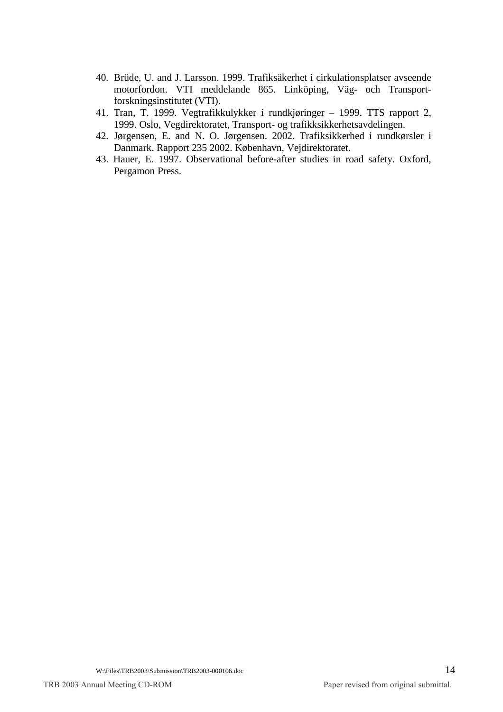- 40. Brüde, U. and J. Larsson. 1999. Trafiksäkerhet i cirkulationsplatser avseende motorfordon. VTI meddelande 865. Linköping, Väg- och Transportforskningsinstitutet (VTI).
- 41. Tran, T. 1999. Vegtrafikkulykker i rundkjøringer 1999. TTS rapport 2, 1999. Oslo, Vegdirektoratet, Transport- og trafikksikkerhetsavdelingen.
- 42. Jørgensen, E. and N. O. Jørgensen. 2002. Trafiksikkerhed i rundkørsler i Danmark. Rapport 235 2002. København, Vejdirektoratet.
- 43. Hauer, E. 1997. Observational before-after studies in road safety. Oxford, Pergamon Press.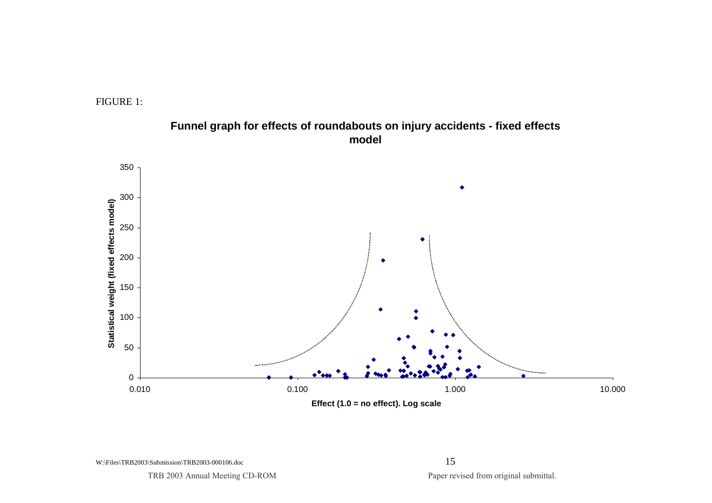



# **Funnel graph for effects of roundabouts on injury accidents - fixed effects model**

**Effect (1.0 = no effect). Log scale**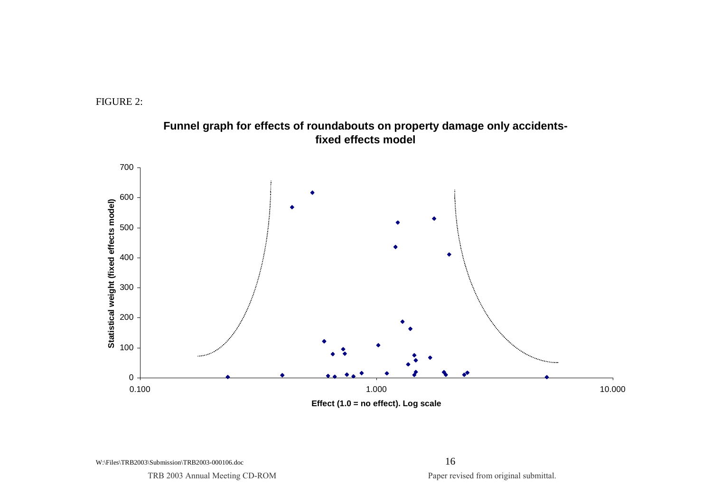



**Funnel graph for effects of roundabouts on property damage only accidentsfixed effects model**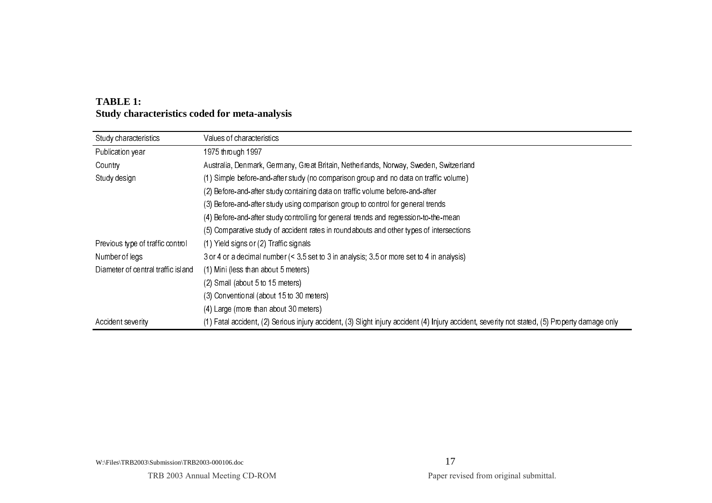| Study characteristics              | Values of characteristics                                                                                                                      |
|------------------------------------|------------------------------------------------------------------------------------------------------------------------------------------------|
| Publication year                   | 1975 through 1997                                                                                                                              |
| Country                            | Australia, Denmark, Germany, Great Britain, Netherlands, Norway, Sweden, Switzerland                                                           |
| Study design                       | (1) Simple before-and-after study (no comparison group and no data on traffic volume)                                                          |
|                                    | (2) Before-and-after study containing data on traffic volume before-and-after                                                                  |
|                                    | (3) Before-and-after study using comparison group to control for general trends                                                                |
|                                    | (4) Before-and-after study controlling for general trends and regression-to-the-mean                                                           |
|                                    | (5) Comparative study of accident rates in roundabouts and other types of intersections                                                        |
| Previous type of traffic control   | (1) Yield signs or (2) Traffic signals                                                                                                         |
| Number of legs                     | 3 or 4 or a decimal number (< 3.5 set to 3 in analysis; 3.5 or more set to 4 in analysis)                                                      |
| Diameter of central traffic island | (1) Mini (less than about 5 meters)                                                                                                            |
|                                    | (2) Small (about 5 to 15 meters)                                                                                                               |
|                                    | (3) Conventional (about 15 to 30 meters)                                                                                                       |
|                                    | (4) Large (more than about 30 meters)                                                                                                          |
| Accident severity                  | (1) Fatal accident, (2) Serious injury accident, (3) Slight injury accident (4) Injury accident, severity not stated, (5) Property damage only |

# **TABLE 1: Study characteristics coded for meta-analysis**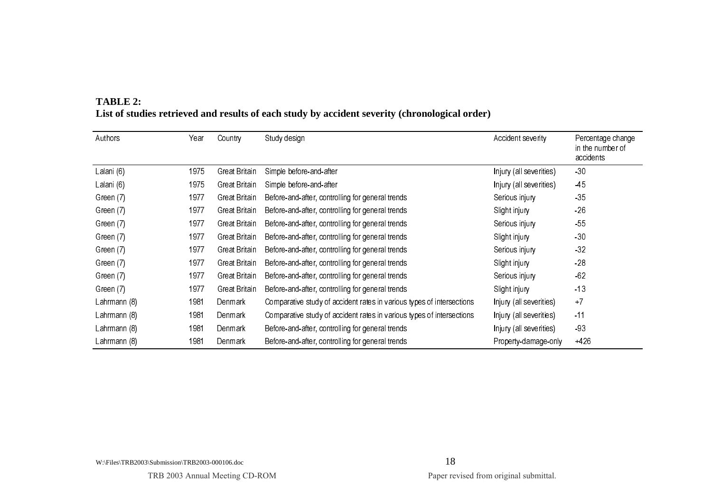| Authors      | Year | Country       | Study design                                                          | Accident severity       | Percentage change<br>in the number of<br>accidents |
|--------------|------|---------------|-----------------------------------------------------------------------|-------------------------|----------------------------------------------------|
| Lalani (6)   | 1975 | Great Britain | Simple before-and-after                                               | Injury (all severities) | $-30$                                              |
| Lalani (6)   | 1975 | Great Britain | Simple before and after                                               | Injury (all severities) | -45                                                |
| Green (7)    | 1977 | Great Britain | Before-and-after, controlling for general trends                      | Serious injury          | $-35$                                              |
| Green (7)    | 1977 | Great Britain | Before-and-after, controlling for general trends                      | Slight injury           | $-26$                                              |
| Green (7)    | 1977 | Great Britain | Before-and-after, controlling for general trends                      | Serious injury          | $-55$                                              |
| Green (7)    | 1977 | Great Britain | Before-and-after, controlling for general trends                      | Slight injury           | $-30$                                              |
| Green (7)    | 1977 | Great Britain | Before-and-after, controlling for general trends                      | Serious injury          | $-32$                                              |
| Green (7)    | 1977 | Great Britain | Before-and-after, controlling for general trends                      | Slight injury           | $-28$                                              |
| Green (7)    | 1977 | Great Britain | Before-and-after, controlling for general trends                      | Serious injury          | $-62$                                              |
| Green (7)    | 1977 | Great Britain | Before-and-after, controlling for general trends                      | Slight injury           | $-13$                                              |
| Lahrmann (8) | 1981 | Denmark       | Comparative study of accident rates in various types of intersections | Injury (all severities) | $+7$                                               |
| Lahrmann (8) | 1981 | Denmark       | Comparative study of accident rates in various types of intersections | Injury (all severities) | $-11$                                              |
| Lahrmann (8) | 1981 | Denmark       | Before-and-after, controlling for general trends                      | Injury (all severities) | $-93$                                              |
| Lahrmann (8) | 1981 | Denmark       | Before-and-after, controlling for general trends                      | Property-damage-only    | $+426$                                             |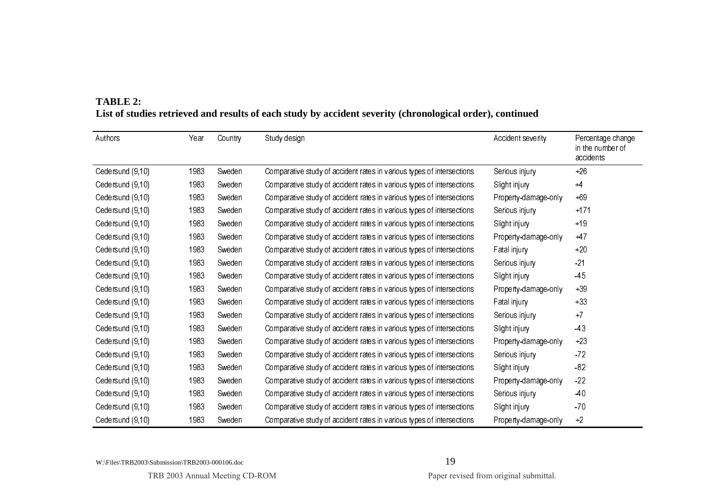| Authors          | Year | Country | Study design                                                          | Accident severity    | Percentage change<br>in the number of<br>accidents |
|------------------|------|---------|-----------------------------------------------------------------------|----------------------|----------------------------------------------------|
| Cedersund (9,10) | 1983 | Sweden  | Comparative study of accident rates in various types of intersections | Serious injury       | $+26$                                              |
| Cedersund (9,10) | 1983 | Sweden  | Comparative study of accident rates in various types of intersections | Slight injury        | $+4$                                               |
| Cedersund (9,10) | 1983 | Sweden  | Comparative study of accident rates in various types of intersections | Property-damage-only | $+69$                                              |
| Cedersund (9,10) | 1983 | Sweden  | Comparative study of accident rates in various types of intersections | Serious injury       | $+171$                                             |
| Cedersund (9,10) | 1983 | Sweden  | Comparative study of accident rates in various types of intersections | Slight injury        | $+19$                                              |
| Cedersund (9,10) | 1983 | Sweden  | Comparative study of accident rates in various types of intersections | Property-damage-only | $+47$                                              |
| Cedersund (9,10) | 1983 | Sweden  | Comparative study of accident rates in various types of intersections | Fatal injury         | $+20$                                              |
| Cedersund (9,10) | 1983 | Sweden  | Comparative study of accident rates in various types of intersections | Serious injury       | $-21$                                              |
| Cedersund (9,10) | 1983 | Sweden  | Comparative study of accident rates in various types of intersections | Slight injury        | $-45$                                              |
| Cedersund (9,10) | 1983 | Sweden  | Comparative study of accident rates in various types of intersections | Property-damage-only | $+39$                                              |
| Cedersund (9,10) | 1983 | Sweden  | Comparative study of accident rates in various types of intersections | Fatal injury         | $+33$                                              |
| Cedersund (9,10) | 1983 | Sweden  | Comparative study of accident rates in various types of intersections | Serious injury       | $+7$                                               |
| Cedersund (9,10) | 1983 | Sweden  | Comparative study of accident rates in various types of intersections | Slight injury        | $-43$                                              |
| Cedersund (9,10) | 1983 | Sweden  | Comparative study of accident rates in various types of intersections | Property-damage-only | $+23$                                              |
| Cedersund (9,10) | 1983 | Sweden  | Comparative study of accident rates in various types of intersections | Serious injury       | $-72$                                              |
| Cedersund (9,10) | 1983 | Sweden  | Comparative study of accident rates in various types of intersections | Slight injury        | $-82$                                              |
| Cedersund (9,10) | 1983 | Sweden  | Comparative study of accident rates in various types of intersections | Property-damage-only | $-22$                                              |
| Cedersund (9,10) | 1983 | Sweden  | Comparative study of accident rates in various types of intersections | Serious injury       | -40                                                |
| Cedersund (9,10) | 1983 | Sweden  | Comparative study of accident rates in various types of intersections | Slight injury        | $-70$                                              |
| Cedersund (9,10) | 1983 | Sweden  | Comparative study of accident rates in various types of intersections | Property-damage-only | $+2$                                               |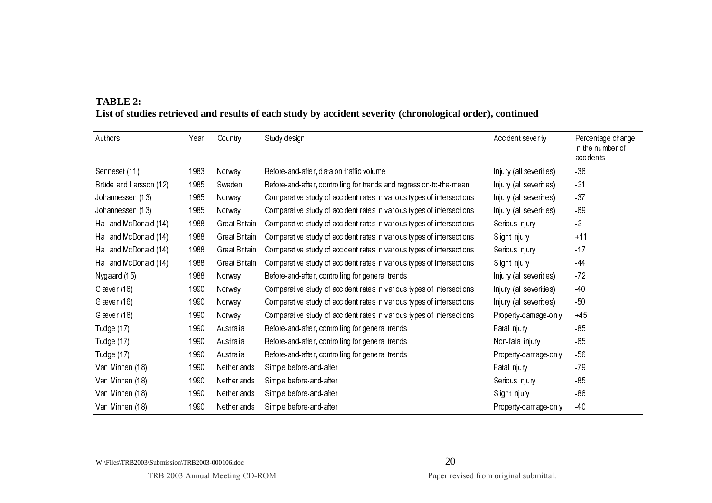| Authors                | Year | Country              | Study design                                                          | Accident severity       | Percentage change<br>in the number of<br>accidents |
|------------------------|------|----------------------|-----------------------------------------------------------------------|-------------------------|----------------------------------------------------|
| Senneset (11)          | 1983 | Norway               | Before-and-after, data on traffic volume                              | Injury (all severities) | $-36$                                              |
| Brüde and Larsson (12) | 1985 | Sweden               | Before-and-after, controlling for trends and regression-to-the-mean   | Injury (all severities) | $-31$                                              |
| Johannessen (13)       | 1985 | Norway               | Comparative study of accident rates in various types of intersections | Injury (all severities) | $-37$                                              |
| Johannessen (13)       | 1985 | Norway               | Comparative study of accident rates in various types of intersections | Injury (all severities) | $-69$                                              |
| Hall and McDonald (14) | 1988 | Great Britain        | Comparative study of accident rates in various types of intersections | Serious injury          | $-3$                                               |
| Hall and McDonald (14) | 1988 | Great Britain        | Comparative study of accident rates in various types of intersections | Slight injury           | $+11$                                              |
| Hall and McDonald (14) | 1988 | Great Britain        | Comparative study of accident rates in various types of intersections | Serious injury          | $-17$                                              |
| Hall and McDonald (14) | 1988 | <b>Great Britain</b> | Comparative study of accident rates in various types of intersections | Slight injury           | $-44$                                              |
| Nygaard (15)           | 1988 | Norway               | Before-and-after, controlling for general trends                      | Injury (all severities) | $-72$                                              |
| Giæver (16)            | 1990 | Norway               | Comparative study of accident rates in various types of intersections | Injury (all severities) | -40                                                |
| Giæver (16)            | 1990 | Norway               | Comparative study of accident rates in various types of intersections | Injury (all severities) | $-50$                                              |
| Giæver (16)            | 1990 | Norway               | Comparative study of accident rates in various types of intersections | Property-damage-only    | $+45$                                              |
| Tudge (17)             | 1990 | Australia            | Before-and-after, controlling for general trends                      | Fatal injury            | $-85$                                              |
| Tudge (17)             | 1990 | Australia            | Before and after, controlling for general trends                      | Non-fatal injury        | $-65$                                              |
| Tudge (17)             | 1990 | Australia            | Before-and-after, controlling for general trends                      | Property-damage-only    | $-56$                                              |
| Van Minnen (18)        | 1990 | Netherlands          | Simple before and after                                               | Fatal injury            | $-79$                                              |
| Van Minnen (18)        | 1990 | Netherlands          | Simple before-and-after                                               | Serious injury          | $-85$                                              |
| Van Minnen (18)        | 1990 | Netherlands          | Simple before-and-after                                               | Slight injury           | $-86$                                              |
| Van Minnen (18)        | 1990 | Netherlands          | Simple before-and-after                                               | Property-damage-only    | 40                                                 |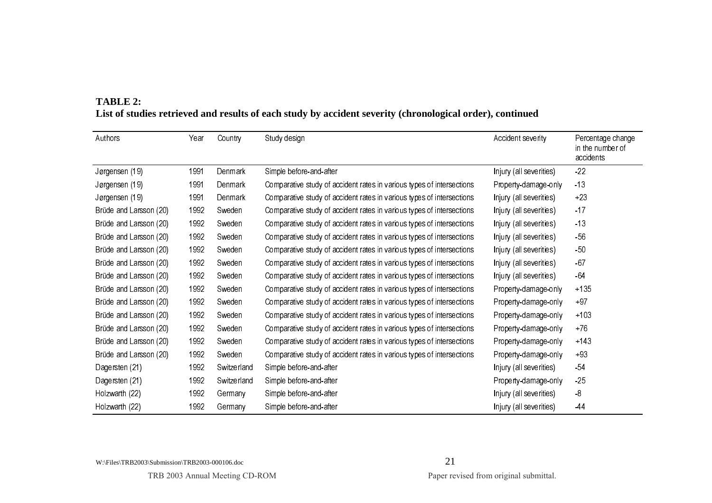| Authors                | Year | Country     | Study design                                                          | Accident severity       | Percentage change<br>in the number of<br>accidents |
|------------------------|------|-------------|-----------------------------------------------------------------------|-------------------------|----------------------------------------------------|
| Jørgensen (19)         | 1991 | Denmark     | Simple before-and-after                                               | Injury (all severities) | $-22$                                              |
| Jørgensen (19)         | 1991 | Denmark     | Comparative study of accident rates in various types of intersections | Property-damage-only    | $-13$                                              |
| Jørgensen (19)         | 1991 | Denmark     | Comparative study of accident rates in various types of intersections | Injury (all severities) | $+23$                                              |
| Brüde and Larsson (20) | 1992 | Sweden      | Comparative study of accident rates in various types of intersections | Injury (all severities) | $-17$                                              |
| Brüde and Larsson (20) | 1992 | Sweden      | Comparative study of accident rates in various types of intersections | Injury (all severities) | $-13$                                              |
| Brüde and Larsson (20) | 1992 | Sweden      | Comparative study of accident rates in various types of intersections | Injury (all severities) | $-56$                                              |
| Brüde and Larsson (20) | 1992 | Sweden      | Comparative study of accident rates in various types of intersections | Injury (all severities) | $-50$                                              |
| Brüde and Larsson (20) | 1992 | Sweden      | Comparative study of accident rates in various types of intersections | Injury (all severities) | $-67$                                              |
| Brüde and Larsson (20) | 1992 | Sweden      | Comparative study of accident rates in various types of intersections | Injury (all severities) | $-64$                                              |
| Brüde and Larsson (20) | 1992 | Sweden      | Comparative study of accident rates in various types of intersections | Property-damage-only    | $+135$                                             |
| Brüde and Larsson (20) | 1992 | Sweden      | Comparative study of accident rates in various types of intersections | Property-damage-only    | $+97$                                              |
| Brüde and Larsson (20) | 1992 | Sweden      | Comparative study of accident rates in various types of intersections | Property-damage-only    | $+103$                                             |
| Brüde and Larsson (20) | 1992 | Sweden      | Comparative study of accident rates in various types of intersections | Property-damage-only    | $+76$                                              |
| Brüde and Larsson (20) | 1992 | Sweden      | Comparative study of accident rates in various types of intersections | Property-damage-only    | $+143$                                             |
| Brüde and Larsson (20) | 1992 | Sweden      | Comparative study of accident rates in various types of intersections | Property-damage-only    | $+93$                                              |
| Dagersten (21)         | 1992 | Switzerland | Simple before-and-after                                               | Injury (all severities) | $-54$                                              |
| Dagersten (21)         | 1992 | Switzerland | Simple before-and-after                                               | Property-damage-only    | $-25$                                              |
| Holzwarth (22)         | 1992 | Germany     | Simple before-and-after                                               | Injury (all severities) | $-8$                                               |
| Holzwarth (22)         | 1992 | Germany     | Simple before-and-after                                               | Injury (all severities) | -44                                                |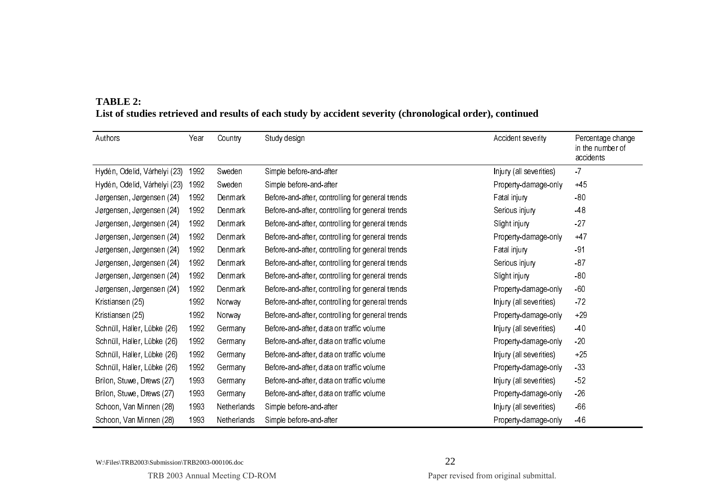| Authors                      | Year | Country     | Study design                                     | Accident severity       | Percentage change             |
|------------------------------|------|-------------|--------------------------------------------------|-------------------------|-------------------------------|
|                              |      |             |                                                  |                         | in the number of<br>accidents |
| Hydén, Odelid, Várhelyi (23) | 1992 | Sweden      | Simple before-and-after                          | Injury (all severities) | $-7$                          |
| Hydén, Odelid, Várhelyi (23) | 1992 | Sweden      | Simple before-and-after                          | Property-damage-only    | $+45$                         |
| Jørgensen, Jørgensen (24)    | 1992 | Denmark     | Before-and-after, controlling for general trends | Fatal injury            | $-80$                         |
| Jørgensen, Jørgensen (24)    | 1992 | Denmark     | Before-and-after, controlling for general trends | Serious injury          | $-48$                         |
| Jørgensen, Jørgensen (24)    | 1992 | Denmark     | Before-and-after, controlling for general trends | Slight injury           | $-27$                         |
| Jørgensen, Jørgensen (24)    | 1992 | Denmark     | Before-and-after, controlling for general trends | Property-damage-only    | $+47$                         |
| Jørgensen, Jørgensen (24)    | 1992 | Denmark     | Before-and-after, controlling for general trends | Fatal injury            | $-91$                         |
| Jørgensen, Jørgensen (24)    | 1992 | Denmark     | Before-and-after, controlling for general trends | Serious injury          | $-87$                         |
| Jørgensen, Jørgensen (24)    | 1992 | Denmark     | Before-and-after, controlling for general trends | Slight injury           | $-80$                         |
| Jørgensen, Jørgensen (24)    | 1992 | Denmark     | Before-and-after, controlling for general trends | Property-damage-only    | $-60$                         |
| Kristiansen (25)             | 1992 | Norway      | Before-and-after, controlling for general trends | Injury (all severities) | $-72$                         |
| Kristiansen (25)             | 1992 | Norway      | Before-and-after, controlling for general trends | Property-damage-only    | $+29$                         |
| Schnüll, Haller, Lübke (26)  | 1992 | Germany     | Before-and-after, data on traffic volume         | Injury (all severities) | $-40$                         |
| Schnüll, Haller, Lübke (26)  | 1992 | Germany     | Before-and-after, data on traffic volume         | Property-damage-only    | $-20$                         |
| Schnüll, Haller, Lübke (26)  | 1992 | Germany     | Before-and-after, data on traffic volume         | Injury (all severities) | $+25$                         |
| Schnüll, Haller, Lübke (26)  | 1992 | Germany     | Before-and-after, data on traffic volume         | Property-damage-only    | $-33$                         |
| Brilon, Stuwe, Drews (27)    | 1993 | Germany     | Before-and-after, data on traffic volume         | Injury (all severities) | $-52$                         |
| Brilon, Stuwe, Drews (27)    | 1993 | Germany     | Before-and-after, data on traffic volume         | Property-damage-only    | $-26$                         |
| Schoon, Van Minnen (28)      | 1993 | Netherlands | Simple before and after                          | Injury (all severities) | $-66$                         |
| Schoon, Van Minnen (28)      | 1993 | Netherlands | Simple before-and-after                          | Property-damage-only    | -46                           |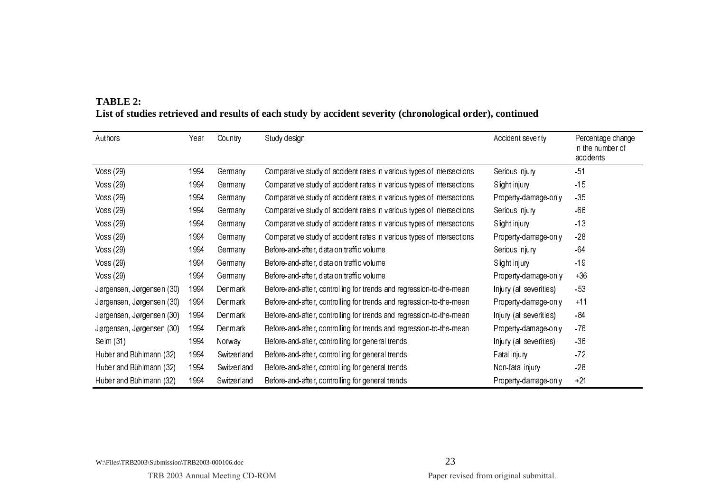| Authors                   | Year | Country     | Study design                                                          | Accident severity       | Percentage change<br>in the number of<br>accidents |
|---------------------------|------|-------------|-----------------------------------------------------------------------|-------------------------|----------------------------------------------------|
| Voss (29)                 | 1994 | Germany     | Comparative study of accident rates in various types of intersections | Serious injury          | $-51$                                              |
| Voss (29)                 | 1994 | Germany     | Comparative study of accident rates in various types of intersections | Slight injury           | $-15$                                              |
| Voss (29)                 | 1994 | Germany     | Comparative study of accident rates in various types of intersections | Property-damage-only    | $-35$                                              |
| Voss (29)                 | 1994 | Germany     | Comparative study of accident rates in various types of intersections | Serious injury          | $-66$                                              |
| Voss (29)                 | 1994 | Germany     | Comparative study of accident rates in various types of intersections | Slight injury           | $-13$                                              |
| Voss (29)                 | 1994 | Germany     | Comparative study of accident rates in various types of intersections | Property-damage-only    | $-28$                                              |
| Voss (29)                 | 1994 | Germany     | Before-and-after, data on traffic volume                              | Serious injury          | -64                                                |
| Voss (29)                 | 1994 | Germany     | Before-and-after, data on traffic volume                              | Slight injury           | $-19$                                              |
| Voss (29)                 | 1994 | Germany     | Before-and-after, data on traffic volume                              | Property-damage-only    | $+36$                                              |
| Jørgensen, Jørgensen (30) | 1994 | Denmark     | Before-and-after, controlling for trends and regression-to-the-mean   | Injury (all severities) | $-53$                                              |
| Jørgensen, Jørgensen (30) | 1994 | Denmark     | Before-and-after, controlling for trends and regression-to-the-mean   | Property-damage-only    | $+11$                                              |
| Jørgensen, Jørgensen (30) | 1994 | Denmark     | Before-and-after, controlling for trends and regression-to-the-mean   | Injury (all severities) | -84                                                |
| Jørgensen, Jørgensen (30) | 1994 | Denmark     | Before-and-after, controlling for trends and regression-to-the-mean   | Property-damage-only    | $-76$                                              |
| Seim (31)                 | 1994 | Norway      | Before-and-after, controlling for general trends                      | Injury (all severities) | $-36$                                              |
| Huber and Bühlmann (32)   | 1994 | Switzerland | Before-and-after, controlling for general trends                      | Fatal injury            | $-72$                                              |
| Huber and Bühlmann (32)   | 1994 | Switzerland | Before-and-after, controlling for general trends                      | Non-fatal injury        | $-28$                                              |
| Huber and Bühlmann (32)   | 1994 | Switzerland | Before-and-after, controlling for general trends                      | Property-damage-only    | $+21$                                              |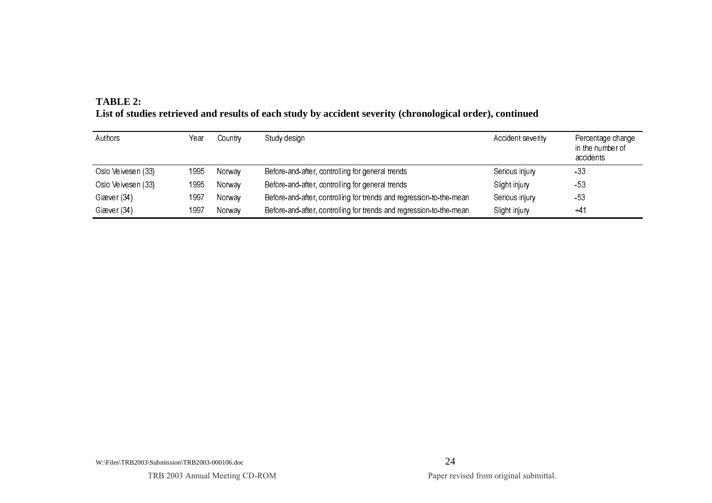| TABLE 2:                                                                                                  |
|-----------------------------------------------------------------------------------------------------------|
| List of studies retrieved and results of each study by accident severity (chronological order), continued |

| Authors            | Year | Country | Study design                                                        | Accident severity | Percentage change<br>in the number of<br>accidents |
|--------------------|------|---------|---------------------------------------------------------------------|-------------------|----------------------------------------------------|
| Oslo Veivesen (33) | 1995 | Norway  | Before-and-after, controlling for general trends                    | Serious injury    | -33                                                |
| Oslo Veivesen (33) | 1995 | Norway  | Before-and-after, controlling for general trends                    | Slight injury     | $-53$                                              |
| Giæver (34)        | 1997 | Norway  | Before-and-after, controlling for trends and regression-to-the-mean | Serious injury    | $-53$                                              |
| Giæver (34)        | 1997 | Norway  | Before-and-after, controlling for trends and regression-to-the-mean | Slight injury     | $+41$                                              |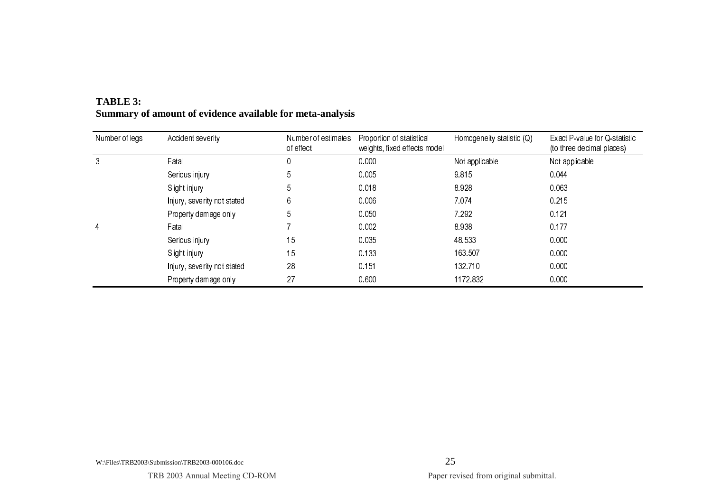| Number of legs | Accident severity           | Number of estimates<br>of effect | Proportion of statistical<br>weights, fixed effects model | Homogeneity statistic (Q) | Exact P-value for Q-statistic<br>(to three decimal places) |
|----------------|-----------------------------|----------------------------------|-----------------------------------------------------------|---------------------------|------------------------------------------------------------|
| 3              | Fatal                       | 0                                | 0.000                                                     | Not applicable            | Not applicable                                             |
|                | Serious injury              | 5                                | 0.005                                                     | 9815                      | 0.044                                                      |
|                | Slight injury               | 5                                | 0.018                                                     | 8.928                     | 0.063                                                      |
|                | Injury, severity not stated | 6                                | 0.006                                                     | 7.074                     | 0.215                                                      |
|                | Property damage only        | 5                                | 0.050                                                     | 7 2 9 2                   | 0.121                                                      |
| 4              | Fatal                       |                                  | 0.002                                                     | 8.938                     | 0.177                                                      |
|                | Serious injury              | 15                               | 0.035                                                     | 48.533                    | 0.000                                                      |
|                | Slight injury               | 15                               | 0.133                                                     | 163.507                   | 0.000                                                      |
|                | Injury, severity not stated | 28                               | 0.151                                                     | 132710                    | 0.000                                                      |
|                | Property damage only        | 27                               | 0.600                                                     | 1172832                   | 0.000                                                      |

# **TABLE 3: Summary of amount of evidence available for meta-analysis**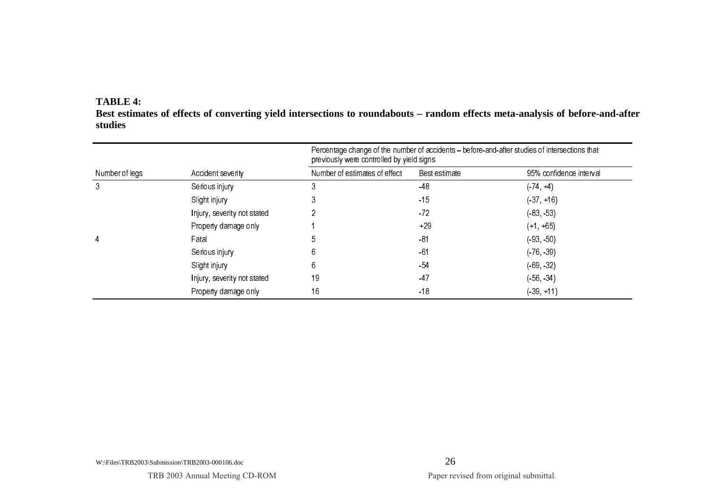## **TABLE 4:**

**Best estimates of effects of converting yield intersections to roundabouts – random effects meta-analysis of before-and-after studies** 

|                |                             | Percentage change of the number of accidents – before-and-after studies of intersections that<br>previously were controlled by yield signs |               |                         |  |  |  |
|----------------|-----------------------------|--------------------------------------------------------------------------------------------------------------------------------------------|---------------|-------------------------|--|--|--|
| Number of legs | Accident severity           | Number of estimates of effect                                                                                                              | Best estimate | 95% confidence interval |  |  |  |
| 3              | Serious injury              | 3                                                                                                                                          | $-48$         | $(.74, +4)$             |  |  |  |
|                | Slight injury               | 3                                                                                                                                          | $-15$         | $(-37, +16)$            |  |  |  |
|                | Injury, severity not stated |                                                                                                                                            | $-72$         | (83, 53)                |  |  |  |
|                | Property damage only        |                                                                                                                                            | $+29$         | $(+1, +65)$             |  |  |  |
| 4              | Fatal                       | 5                                                                                                                                          | -81           | (.93, .50)              |  |  |  |
|                | Serious injury              | 6                                                                                                                                          | -61           | (76, 39)                |  |  |  |
|                | Slight injury               | 6                                                                                                                                          | $-54$         | (69, 32)                |  |  |  |
|                | Injury, severity not stated | 19                                                                                                                                         | -47           | (.56, .34)              |  |  |  |
|                | Property damage only        | 16                                                                                                                                         | $-18$         | $(-39, +11)$            |  |  |  |